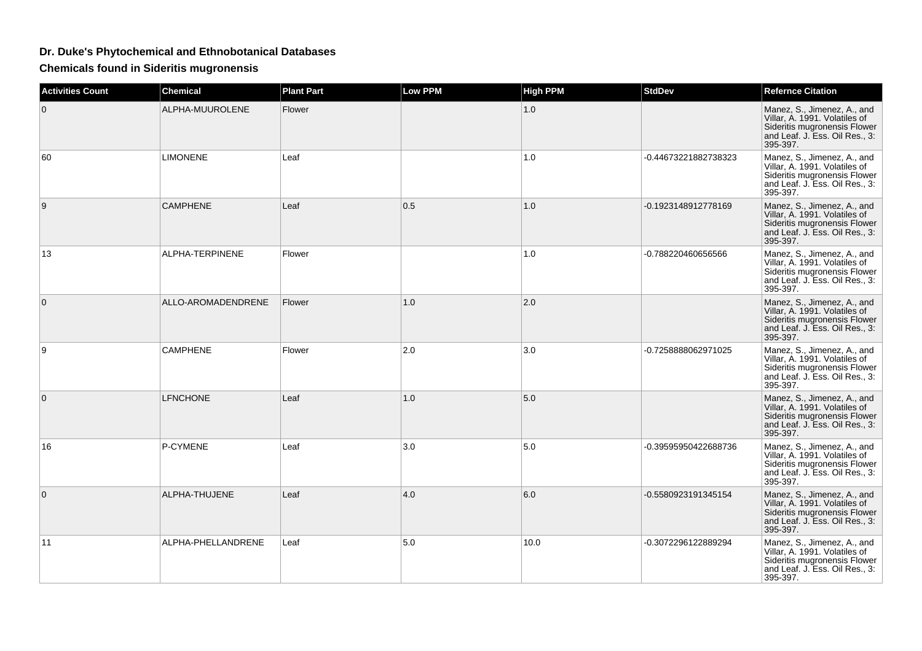## **Dr. Duke's Phytochemical and Ethnobotanical Databases**

**Chemicals found in Sideritis mugronensis**

| <b>Activities Count</b> | <b>Chemical</b>    | <b>Plant Part</b> | Low PPM | <b>High PPM</b> | <b>StdDev</b>        | <b>Refernce Citation</b>                                                                                                                   |
|-------------------------|--------------------|-------------------|---------|-----------------|----------------------|--------------------------------------------------------------------------------------------------------------------------------------------|
| $\mathbf 0$             | ALPHA-MUUROLENE    | Flower            |         | 1.0             |                      | Manez, S., Jimenez, A., and<br>Villar, A. 1991. Volatiles of<br>Sideritis mugronensis Flower<br>and Leaf. J. Ess. Oil Res., 3:<br>395-397. |
| 60                      | <b>LIMONENE</b>    | Leaf              |         | 1.0             | -0.44673221882738323 | Manez, S., Jimenez, A., and<br>Villar, A. 1991. Volatiles of<br>Sideritis mugronensis Flower<br>and Leaf. J. Ess. Oil Res., 3:<br>395-397. |
| 9                       | <b>CAMPHENE</b>    | Leaf              | 0.5     | 1.0             | -0.1923148912778169  | Manez, S., Jimenez, A., and<br>Villar, A. 1991. Volatiles of<br>Sideritis mugronensis Flower<br>and Leaf. J. Ess. Oil Res., 3:<br>395-397. |
| 13                      | ALPHA-TERPINENE    | Flower            |         | 1.0             | -0.788220460656566   | Manez, S., Jimenez, A., and<br>Villar, A. 1991. Volatiles of<br>Sideritis mugronensis Flower<br>and Leaf. J. Ess. Oil Res., 3:<br>395-397. |
| $\mathbf 0$             | ALLO-AROMADENDRENE | Flower            | 1.0     | 2.0             |                      | Manez, S., Jimenez, A., and<br>Villar, A. 1991. Volatiles of<br>Sideritis mugronensis Flower<br>and Leaf. J. Ess. Oil Res., 3:<br>395-397. |
| 9                       | <b>CAMPHENE</b>    | Flower            | 2.0     | 3.0             | -0.7258888062971025  | Manez, S., Jimenez, A., and<br>Villar, A. 1991. Volatiles of<br>Sideritis mugronensis Flower<br>and Leaf. J. Ess. Oil Res., 3:<br>395-397. |
| 0                       | <b>LFNCHONE</b>    | Leaf              | 1.0     | 5.0             |                      | Manez, S., Jimenez, A., and<br>Villar, A. 1991. Volatiles of<br>Sideritis mugronensis Flower<br>and Leaf. J. Ess. Oil Res., 3:<br>395-397. |
| 16                      | P-CYMENE           | Leaf              | 3.0     | 5.0             | -0.39595950422688736 | Manez, S., Jimenez, A., and<br>Villar, A. 1991. Volatiles of<br>Sideritis mugronensis Flower<br>and Leaf. J. Ess. Oil Res., 3:<br>395-397. |
| $\mathbf{0}$            | ALPHA-THUJENE      | Leaf              | 4.0     | 6.0             | -0.5580923191345154  | Manez, S., Jimenez, A., and<br>Villar, A. 1991. Volatiles of<br>Sideritis mugronensis Flower<br>and Leaf. J. Ess. Oil Res., 3:<br>395-397. |
| 11                      | ALPHA-PHELLANDRENE | Leaf              | 5.0     | 10.0            | -0.3072296122889294  | Manez, S., Jimenez, A., and<br>Villar, A. 1991. Volatiles of<br>Sideritis mugronensis Flower<br>and Leaf. J. Ess. Oil Res., 3:<br>395-397. |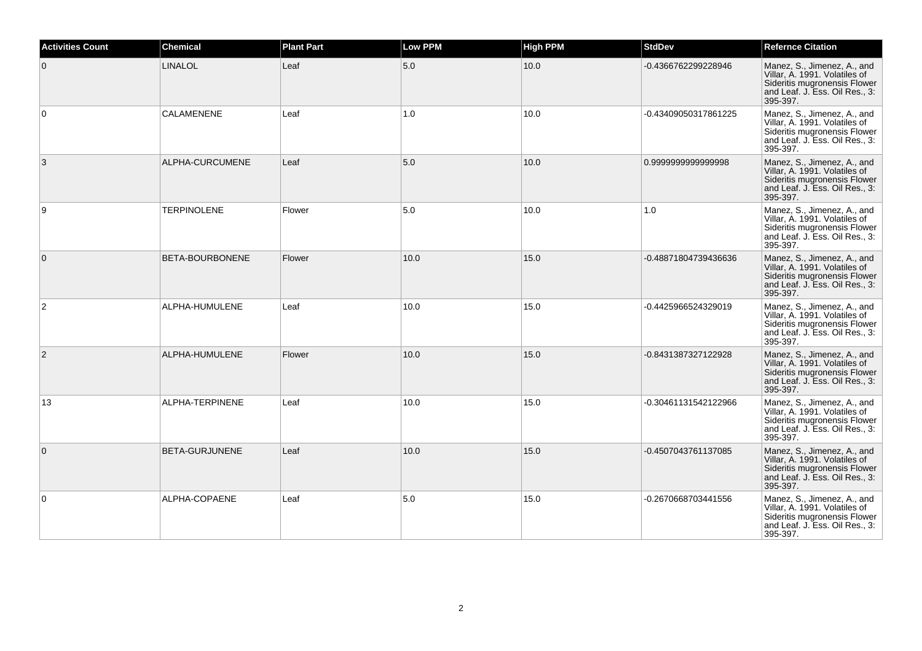| <b>Activities Count</b> | <b>Chemical</b>    | <b>Plant Part</b> | <b>Low PPM</b> | <b>High PPM</b> | <b>StdDev</b>        | <b>Refernce Citation</b>                                                                                                                   |
|-------------------------|--------------------|-------------------|----------------|-----------------|----------------------|--------------------------------------------------------------------------------------------------------------------------------------------|
| $\mathbf{0}$            | LINALOL            | Leaf              | 5.0            | 10.0            | -0.4366762299228946  | Manez, S., Jimenez, A., and<br>Villar, A. 1991. Volatiles of<br>Sideritis mugronensis Flower<br>and Leaf. J. Ess. Oil Res., 3:<br>395-397. |
| $\mathbf 0$             | <b>CALAMENENE</b>  | Leaf              | 1.0            | 10.0            | -0.43409050317861225 | Manez, S., Jimenez, A., and<br>Villar, A. 1991. Volatiles of<br>Sideritis mugronensis Flower<br>and Leaf. J. Ess. Oil Res., 3:<br>395-397. |
| 3                       | ALPHA-CURCUMENE    | Leaf              | 5.0            | 10.0            | 0.999999999999998    | Manez, S., Jimenez, A., and<br>Villar, A. 1991. Volatiles of<br>Sideritis mugronensis Flower<br>and Leaf. J. Ess. Oil Res., 3:<br>395-397. |
| 9                       | <b>TERPINOLENE</b> | Flower            | 5.0            | 10.0            | 1.0                  | Manez, S., Jimenez, A., and<br>Villar, A. 1991. Volatiles of<br>Sideritis mugronensis Flower<br>and Leaf. J. Ess. Oil Res., 3:<br>395-397. |
| $\overline{0}$          | BETA-BOURBONENE    | Flower            | 10.0           | 15.0            | -0.48871804739436636 | Manez, S., Jimenez, A., and<br>Villar, A. 1991. Volatiles of<br>Sideritis mugronensis Flower<br>and Leaf. J. Ess. Oil Res., 3:<br>395-397. |
| $\overline{2}$          | ALPHA-HUMULENE     | Leaf              | 10.0           | 15.0            | -0.4425966524329019  | Manez, S., Jimenez, A., and<br>Villar. A. 1991. Volatiles of<br>Sideritis mugronensis Flower<br>and Leaf. J. Ess. Oil Res., 3:<br>395-397. |
| $\overline{2}$          | ALPHA-HUMULENE     | Flower            | 10.0           | 15.0            | -0.8431387327122928  | Manez, S., Jimenez, A., and<br>Villar, A. 1991. Volatiles of<br>Sideritis mugronensis Flower<br>and Leaf. J. Ess. Oil Res., 3:<br>395-397. |
| 13                      | ALPHA-TERPINENE    | Leaf              | 10.0           | 15.0            | -0.30461131542122966 | Manez, S., Jimenez, A., and<br>Villar, A. 1991. Volatiles of<br>Sideritis mugronensis Flower<br>and Leaf. J. Ess. Oil Res., 3:<br>395-397. |
| $\mathbf{0}$            | BETA-GURJUNENE     | Leaf              | 10.0           | 15.0            | -0.4507043761137085  | Manez, S., Jimenez, A., and<br>Villar, A. 1991. Volatiles of<br>Sideritis mugronensis Flower<br>and Leaf. J. Ess. Oil Res., 3:<br>395-397. |
| $\mathbf 0$             | ALPHA-COPAENE      | Leaf              | 5.0            | 15.0            | -0.2670668703441556  | Manez, S., Jimenez, A., and<br>Villar. A. 1991. Volatiles of<br>Sideritis mugronensis Flower<br>and Leaf. J. Ess. Oil Res., 3:<br>395-397. |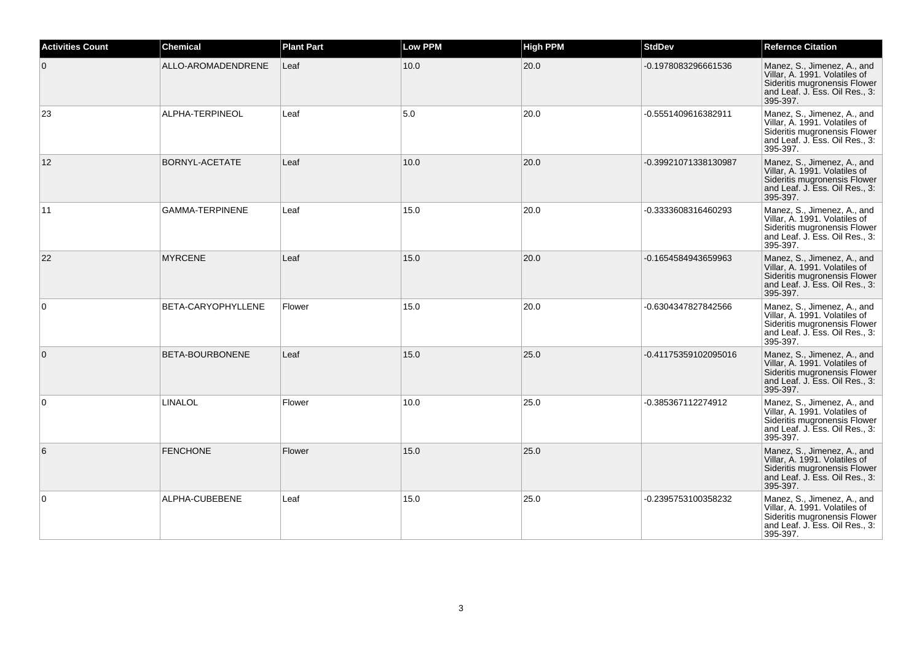| <b>Activities Count</b> | <b>Chemical</b>        | <b>Plant Part</b> | <b>Low PPM</b> | <b>High PPM</b> | <b>StdDev</b>        | <b>Refernce Citation</b>                                                                                                                   |
|-------------------------|------------------------|-------------------|----------------|-----------------|----------------------|--------------------------------------------------------------------------------------------------------------------------------------------|
| $\mathbf{0}$            | ALLO-AROMADENDRENE     | Leaf              | 10.0           | 20.0            | -0.1978083296661536  | Manez, S., Jimenez, A., and<br>Villar, A. 1991. Volatiles of<br>Sideritis mugronensis Flower<br>and Leaf. J. Ess. Oil Res., 3:<br>395-397. |
| 23                      | ALPHA-TERPINEOL        | Leaf              | 5.0            | 20.0            | -0.5551409616382911  | Manez, S., Jimenez, A., and<br>Villar, A. 1991. Volatiles of<br>Sideritis mugronensis Flower<br>and Leaf. J. Ess. Oil Res., 3:<br>395-397. |
| 12                      | BORNYL-ACETATE         | Leaf              | 10.0           | 20.0            | -0.39921071338130987 | Manez, S., Jimenez, A., and<br>Villar, A. 1991. Volatiles of<br>Sideritis mugronensis Flower<br>and Leaf. J. Ess. Oil Res., 3:<br>395-397. |
| 11                      | <b>GAMMA-TERPINENE</b> | Leaf              | 15.0           | 20.0            | -0.3333608316460293  | Manez, S., Jimenez, A., and<br>Villar, A. 1991. Volatiles of<br>Sideritis mugronensis Flower<br>and Leaf. J. Ess. Oil Res., 3:<br>395-397. |
| 22                      | <b>MYRCENE</b>         | Leaf              | 15.0           | 20.0            | -0.1654584943659963  | Manez, S., Jimenez, A., and<br>Villar, A. 1991. Volatiles of<br>Sideritis mugronensis Flower<br>and Leaf. J. Ess. Oil Res., 3:<br>395-397. |
| 0                       | BETA-CARYOPHYLLENE     | Flower            | 15.0           | 20.0            | -0.6304347827842566  | Manez, S., Jimenez, A., and<br>Villar, A. 1991. Volatiles of<br>Sideritis mugronensis Flower<br>and Leaf. J. Ess. Oil Res., 3:<br>395-397. |
| $\overline{0}$          | BETA-BOURBONENE        | Leaf              | 15.0           | 25.0            | -0.41175359102095016 | Manez, S., Jimenez, A., and<br>Villar, A. 1991. Volatiles of<br>Sideritis mugronensis Flower<br>and Leaf. J. Ess. Oil Res., 3:<br>395-397. |
| $\Omega$                | <b>LINALOL</b>         | Flower            | 10.0           | 25.0            | -0.385367112274912   | Manez, S., Jimenez, A., and<br>Villar, A. 1991. Volatiles of<br>Sideritis mugronensis Flower<br>and Leaf. J. Ess. Oil Res., 3:<br>395-397. |
| 6                       | <b>FENCHONE</b>        | Flower            | 15.0           | 25.0            |                      | Manez, S., Jimenez, A., and<br>Villar, A. 1991. Volatiles of<br>Sideritis mugronensis Flower<br>and Leaf. J. Ess. Oil Res., 3:<br>395-397. |
| $\mathbf 0$             | ALPHA-CUBEBENE         | Leaf              | 15.0           | 25.0            | -0.2395753100358232  | Manez, S., Jimenez, A., and<br>Villar, A. 1991. Volatiles of<br>Sideritis mugronensis Flower<br>and Leaf. J. Ess. Oil Res., 3:<br>395-397. |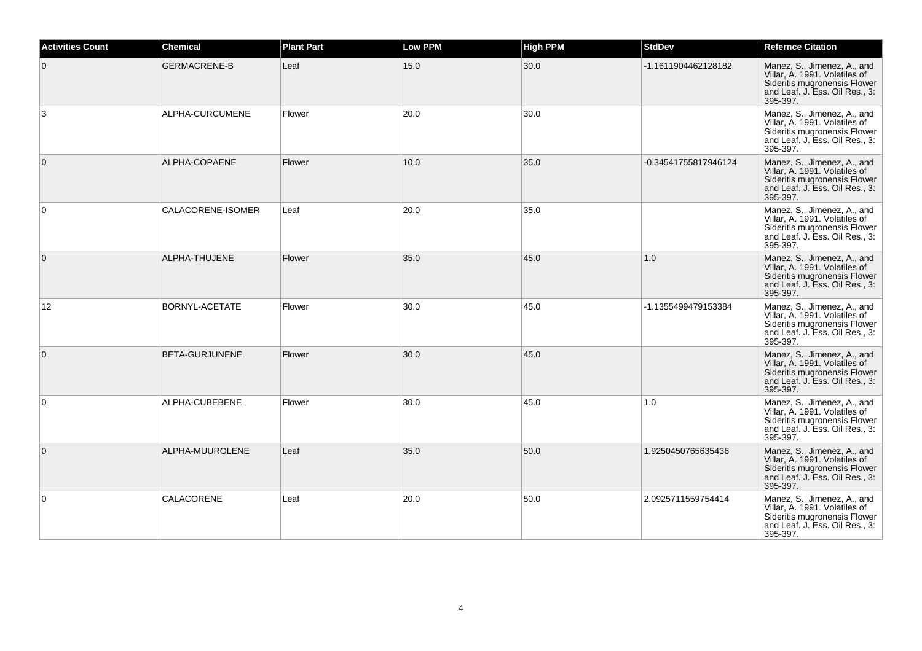| <b>Activities Count</b> | <b>Chemical</b>     | <b>Plant Part</b> | <b>Low PPM</b> | <b>High PPM</b> | <b>StdDev</b>        | <b>Refernce Citation</b>                                                                                                                   |
|-------------------------|---------------------|-------------------|----------------|-----------------|----------------------|--------------------------------------------------------------------------------------------------------------------------------------------|
| $\mathbf{0}$            | <b>GERMACRENE-B</b> | Leaf              | 15.0           | 30.0            | -1.1611904462128182  | Manez, S., Jimenez, A., and<br>Villar, A. 1991. Volatiles of<br>Sideritis mugronensis Flower<br>and Leaf. J. Ess. Oil Res., 3:<br>395-397. |
| 3                       | ALPHA-CURCUMENE     | Flower            | 20.0           | 30.0            |                      | Manez, S., Jimenez, A., and<br>Villar, A. 1991. Volatiles of<br>Sideritis mugronensis Flower<br>and Leaf. J. Ess. Oil Res., 3:<br>395-397. |
| $\mathbf{0}$            | ALPHA-COPAENE       | Flower            | 10.0           | 35.0            | -0.34541755817946124 | Manez, S., Jimenez, A., and<br>Villar, A. 1991. Volatiles of<br>Sideritis mugronensis Flower<br>and Leaf. J. Ess. Oil Res., 3:<br>395-397. |
| $\mathbf 0$             | CALACORENE-ISOMER   | Leaf              | 20.0           | 35.0            |                      | Manez, S., Jimenez, A., and<br>Villar, A. 1991. Volatiles of<br>Sideritis mugronensis Flower<br>and Leaf. J. Ess. Oil Res., 3:<br>395-397. |
| $\overline{0}$          | ALPHA-THUJENE       | Flower            | 35.0           | 45.0            | 1.0                  | Manez, S., Jimenez, A., and<br>Villar, A. 1991. Volatiles of<br>Sideritis mugronensis Flower<br>and Leaf. J. Ess. Oil Res., 3:<br>395-397. |
| 12                      | BORNYL-ACETATE      | Flower            | 30.0           | 45.0            | -1.1355499479153384  | Manez, S., Jimenez, A., and<br>Villar, A. 1991. Volatiles of<br>Sideritis mugronensis Flower<br>and Leaf. J. Ess. Oil Res., 3:<br>395-397. |
| $\overline{0}$          | BETA-GURJUNENE      | Flower            | 30.0           | 45.0            |                      | Manez, S., Jimenez, A., and<br>Villar, A. 1991. Volatiles of<br>Sideritis mugronensis Flower<br>and Leaf. J. Ess. Oil Res., 3:<br>395-397. |
| $\mathbf 0$             | ALPHA-CUBEBENE      | Flower            | 30.0           | 45.0            | 1.0                  | Manez, S., Jimenez, A., and<br>Villar, A. 1991. Volatiles of<br>Sideritis mugronensis Flower<br>and Leaf. J. Ess. Oil Res., 3:<br>395-397. |
| $\mathbf{0}$            | ALPHA-MUUROLENE     | Leaf              | 35.0           | 50.0            | 1.9250450765635436   | Manez, S., Jimenez, A., and<br>Villar, A. 1991. Volatiles of<br>Sideritis mugronensis Flower<br>and Leaf. J. Ess. Oil Res., 3:<br>395-397. |
| 0                       | CALACORENE          | Leaf              | 20.0           | 50.0            | 2.0925711559754414   | Manez, S., Jimenez, A., and<br>Villar, A. 1991. Volatiles of<br>Sideritis mugronensis Flower<br>and Leaf. J. Ess. Oil Res., 3:<br>395-397. |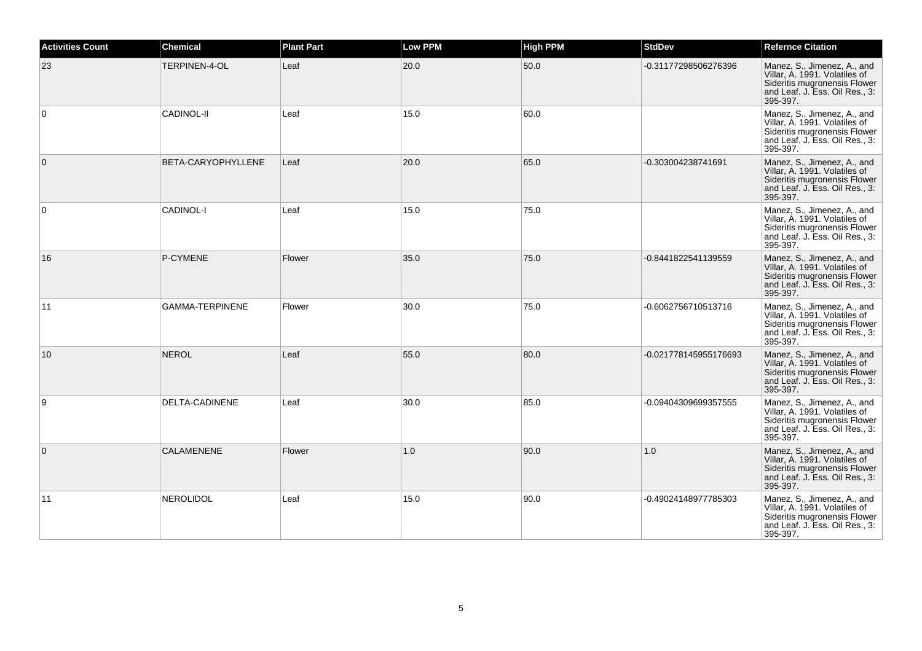| <b>Activities Count</b> | <b>Chemical</b>        | <b>Plant Part</b> | <b>Low PPM</b> | <b>High PPM</b> | <b>StdDev</b>         | <b>Refernce Citation</b>                                                                                                                   |
|-------------------------|------------------------|-------------------|----------------|-----------------|-----------------------|--------------------------------------------------------------------------------------------------------------------------------------------|
| 23                      | TERPINEN-4-OL          | Leaf              | 20.0           | 50.0            | -0.31177298506276396  | Manez, S., Jimenez, A., and<br>Villar, A. 1991. Volatiles of<br>Sideritis mugronensis Flower<br>and Leaf. J. Ess. Oil Res., 3:<br>395-397. |
| $\mathbf 0$             | <b>CADINOL-II</b>      | Leaf              | 15.0           | 60.0            |                       | Manez, S., Jimenez, A., and<br>Villar, A. 1991. Volatiles of<br>Sideritis mugronensis Flower<br>and Leaf. J. Ess. Oil Res., 3:<br>395-397. |
| $\mathbf{0}$            | BETA-CARYOPHYLLENE     | Leaf              | 20.0           | 65.0            | -0.303004238741691    | Manez, S., Jimenez, A., and<br>Villar, A. 1991. Volatiles of<br>Sideritis mugronensis Flower<br>and Leaf. J. Ess. Oil Res., 3:<br>395-397. |
| $\mathbf 0$             | CADINOL-I              | Leaf              | 15.0           | 75.0            |                       | Manez, S., Jimenez, A., and<br>Villar, A. 1991. Volatiles of<br>Sideritis mugronensis Flower<br>and Leaf. J. Ess. Oil Res., 3:<br>395-397. |
| 16                      | P-CYMENE               | Flower            | 35.0           | 75.0            | -0.8441822541139559   | Manez, S., Jimenez, A., and<br>Villar, A. 1991. Volatiles of<br>Sideritis mugronensis Flower<br>and Leaf. J. Ess. Oil Res., 3:<br>395-397. |
| 11                      | <b>GAMMA-TERPINENE</b> | Flower            | 30.0           | 75.0            | -0.6062756710513716   | Manez, S., Jimenez, A., and<br>Villar, A. 1991. Volatiles of<br>Sideritis mugronensis Flower<br>and Leaf. J. Ess. Oil Res., 3:<br>395-397. |
| 10                      | <b>NEROL</b>           | Leaf              | 55.0           | 80.0            | -0.021778145955176693 | Manez, S., Jimenez, A., and<br>Villar, A. 1991. Volatiles of<br>Sideritis mugronensis Flower<br>and Leaf. J. Ess. Oil Res., 3:<br>395-397. |
| 9                       | DELTA-CADINENE         | Leaf              | 30.0           | 85.0            | -0.09404309699357555  | Manez, S., Jimenez, A., and<br>Villar, A. 1991. Volatiles of<br>Sideritis mugronensis Flower<br>and Leaf. J. Ess. Oil Res., 3:<br>395-397. |
| $\mathbf{0}$            | <b>CALAMENENE</b>      | Flower            | 1.0            | 90.0            | 1.0                   | Manez, S., Jimenez, A., and<br>Villar, A. 1991. Volatiles of<br>Sideritis mugronensis Flower<br>and Leaf. J. Ess. Oil Res., 3:<br>395-397. |
| 11                      | <b>NEROLIDOL</b>       | Leaf              | 15.0           | 90.0            | -0.49024148977785303  | Manez, S., Jimenez, A., and<br>Villar, A. 1991. Volatiles of<br>Sideritis mugronensis Flower<br>and Leaf. J. Ess. Oil Res., 3:<br>395-397. |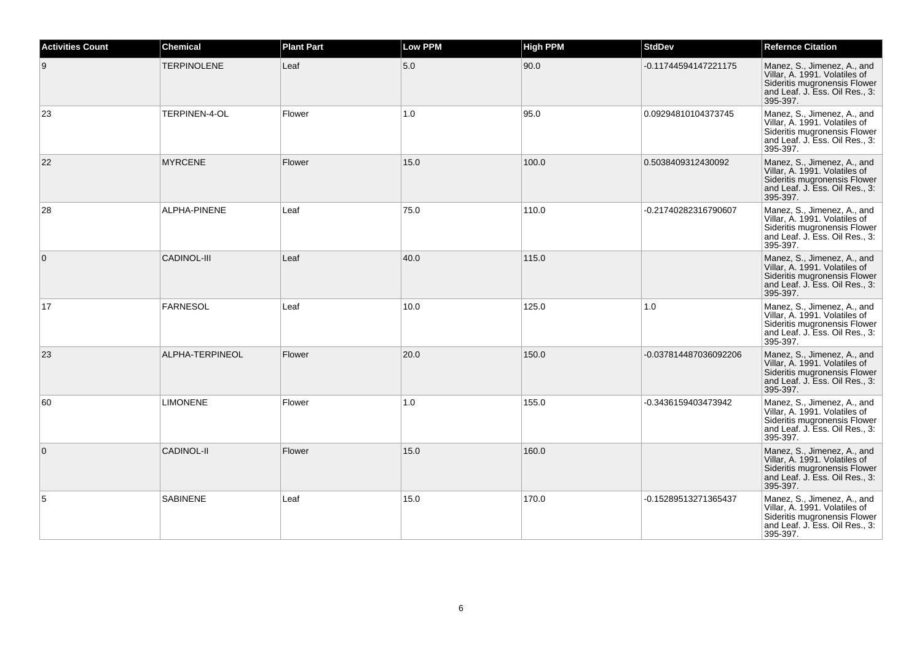| <b>Activities Count</b> | <b>Chemical</b>    | <b>Plant Part</b> | <b>Low PPM</b> | <b>High PPM</b> | <b>StdDev</b>         | <b>Refernce Citation</b>                                                                                                                   |
|-------------------------|--------------------|-------------------|----------------|-----------------|-----------------------|--------------------------------------------------------------------------------------------------------------------------------------------|
| 9                       | <b>TERPINOLENE</b> | Leaf              | 5.0            | 90.0            | -0.11744594147221175  | Manez, S., Jimenez, A., and<br>Villar, A. 1991. Volatiles of<br>Sideritis mugronensis Flower<br>and Leaf. J. Ess. Oil Res., 3:<br>395-397. |
| 23                      | TERPINEN-4-OL      | Flower            | 1.0            | 95.0            | 0.09294810104373745   | Manez, S., Jimenez, A., and<br>Villar, A. 1991. Volatiles of<br>Sideritis mugronensis Flower<br>and Leaf. J. Ess. Oil Res., 3:<br>395-397. |
| 22                      | <b>MYRCENE</b>     | Flower            | 15.0           | 100.0           | 0.5038409312430092    | Manez, S., Jimenez, A., and<br>Villar, A. 1991. Volatiles of<br>Sideritis mugronensis Flower<br>and Leaf. J. Ess. Oil Res., 3:<br>395-397. |
| 28                      | ALPHA-PINENE       | Leaf              | 75.0           | 110.0           | -0.21740282316790607  | Manez, S., Jimenez, A., and<br>Villar, A. 1991. Volatiles of<br>Sideritis mugronensis Flower<br>and Leaf. J. Ess. Oil Res., 3:<br>395-397. |
| $\overline{0}$          | <b>CADINOL-III</b> | Leaf              | 40.0           | 115.0           |                       | Manez, S., Jimenez, A., and<br>Villar, A. 1991. Volatiles of<br>Sideritis mugronensis Flower<br>and Leaf. J. Ess. Oil Res., 3:<br>395-397. |
| 17                      | <b>FARNESOL</b>    | Leaf              | 10.0           | 125.0           | 1.0                   | Manez, S., Jimenez, A., and<br>Villar, A. 1991. Volatiles of<br>Sideritis mugronensis Flower<br>and Leaf. J. Ess. Oil Res., 3:<br>395-397. |
| 23                      | ALPHA-TERPINEOL    | Flower            | 20.0           | 150.0           | -0.037814487036092206 | Manez, S., Jimenez, A., and<br>Villar, A. 1991. Volatiles of<br>Sideritis mugronensis Flower<br>and Leaf. J. Ess. Oil Res., 3:<br>395-397. |
| 60                      | <b>LIMONENE</b>    | Flower            | 1.0            | 155.0           | -0.3436159403473942   | Manez, S., Jimenez, A., and<br>Villar, A. 1991. Volatiles of<br>Sideritis mugronensis Flower<br>and Leaf. J. Ess. Oil Res., 3:<br>395-397. |
| $\mathbf{0}$            | <b>CADINOL-II</b>  | Flower            | 15.0           | 160.0           |                       | Manez, S., Jimenez, A., and<br>Villar, A. 1991. Volatiles of<br>Sideritis mugronensis Flower<br>and Leaf. J. Ess. Oil Res., 3:<br>395-397. |
| 5                       | <b>SABINENE</b>    | Leaf              | 15.0           | 170.0           | -0.15289513271365437  | Manez, S., Jimenez, A., and<br>Villar, A. 1991. Volatiles of<br>Sideritis mugronensis Flower<br>and Leaf. J. Ess. Oil Res., 3:<br>395-397. |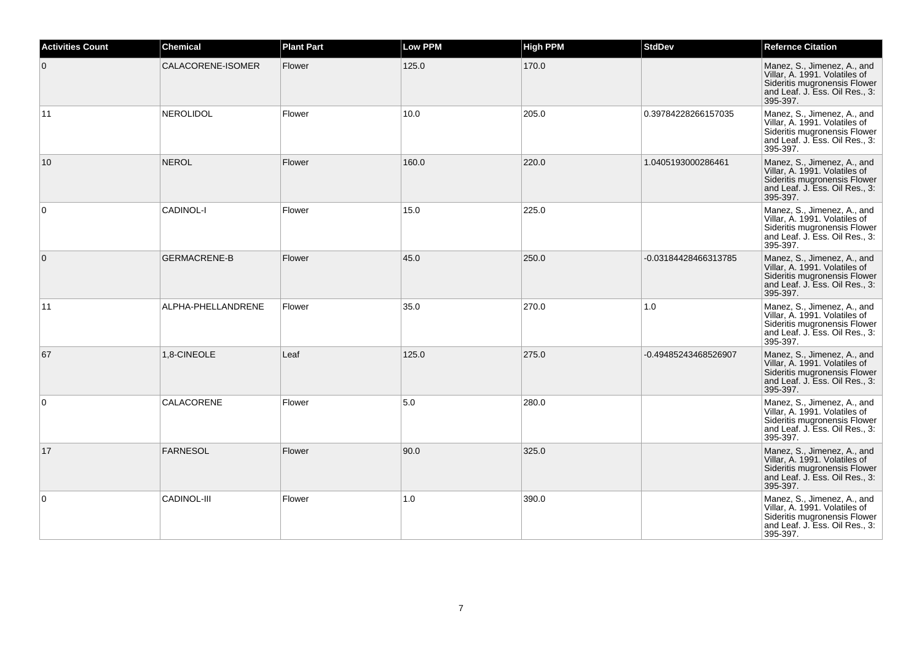| <b>Activities Count</b> | <b>Chemical</b>     | <b>Plant Part</b> | <b>Low PPM</b> | <b>High PPM</b> | <b>StdDev</b>        | <b>Refernce Citation</b>                                                                                                                   |
|-------------------------|---------------------|-------------------|----------------|-----------------|----------------------|--------------------------------------------------------------------------------------------------------------------------------------------|
| $\mathbf{0}$            | CALACORENE-ISOMER   | Flower            | 125.0          | 170.0           |                      | Manez, S., Jimenez, A., and<br>Villar, A. 1991. Volatiles of<br>Sideritis mugronensis Flower<br>and Leaf. J. Ess. Oil Res., 3:<br>395-397. |
| 11                      | <b>NEROLIDOL</b>    | Flower            | 10.0           | 205.0           | 0.39784228266157035  | Manez, S., Jimenez, A., and<br>Villar, A. 1991. Volatiles of<br>Sideritis mugronensis Flower<br>and Leaf. J. Ess. Oil Res., 3:<br>395-397. |
| 10                      | <b>NEROL</b>        | Flower            | 160.0          | 220.0           | 1.0405193000286461   | Manez, S., Jimenez, A., and<br>Villar, A. 1991. Volatiles of<br>Sideritis mugronensis Flower<br>and Leaf. J. Ess. Oil Res., 3:<br>395-397. |
| $\mathbf 0$             | CADINOL-I           | Flower            | 15.0           | 225.0           |                      | Manez, S., Jimenez, A., and<br>Villar, A. 1991. Volatiles of<br>Sideritis mugronensis Flower<br>and Leaf. J. Ess. Oil Res., 3:<br>395-397. |
| $\overline{0}$          | <b>GERMACRENE-B</b> | Flower            | 45.0           | 250.0           | -0.03184428466313785 | Manez, S., Jimenez, A., and<br>Villar, A. 1991. Volatiles of<br>Sideritis mugronensis Flower<br>and Leaf. J. Ess. Oil Res., 3:<br>395-397. |
| 11                      | ALPHA-PHELLANDRENE  | Flower            | 35.0           | 270.0           | 1.0                  | Manez, S., Jimenez, A., and<br>Villar, A. 1991. Volatiles of<br>Sideritis mugronensis Flower<br>and Leaf. J. Ess. Oil Res., 3:<br>395-397. |
| 67                      | 1,8-CINEOLE         | Leaf              | 125.0          | 275.0           | -0.49485243468526907 | Manez, S., Jimenez, A., and<br>Villar, A. 1991. Volatiles of<br>Sideritis mugronensis Flower<br>and Leaf. J. Ess. Oil Res., 3:<br>395-397. |
| 0                       | CALACORENE          | Flower            | 5.0            | 280.0           |                      | Manez, S., Jimenez, A., and<br>Villar, A. 1991. Volatiles of<br>Sideritis mugronensis Flower<br>and Leaf. J. Ess. Oil Res., 3:<br>395-397. |
| 17                      | FARNESOL            | Flower            | 90.0           | 325.0           |                      | Manez, S., Jimenez, A., and<br>Villar, A. 1991. Volatiles of<br>Sideritis mugronensis Flower<br>and Leaf. J. Ess. Oil Res., 3:<br>395-397. |
| 0                       | <b>CADINOL-III</b>  | Flower            | 1.0            | 390.0           |                      | Manez, S., Jimenez, A., and<br>Villar, A. 1991. Volatiles of<br>Sideritis mugronensis Flower<br>and Leaf. J. Ess. Oil Res., 3:<br>395-397. |